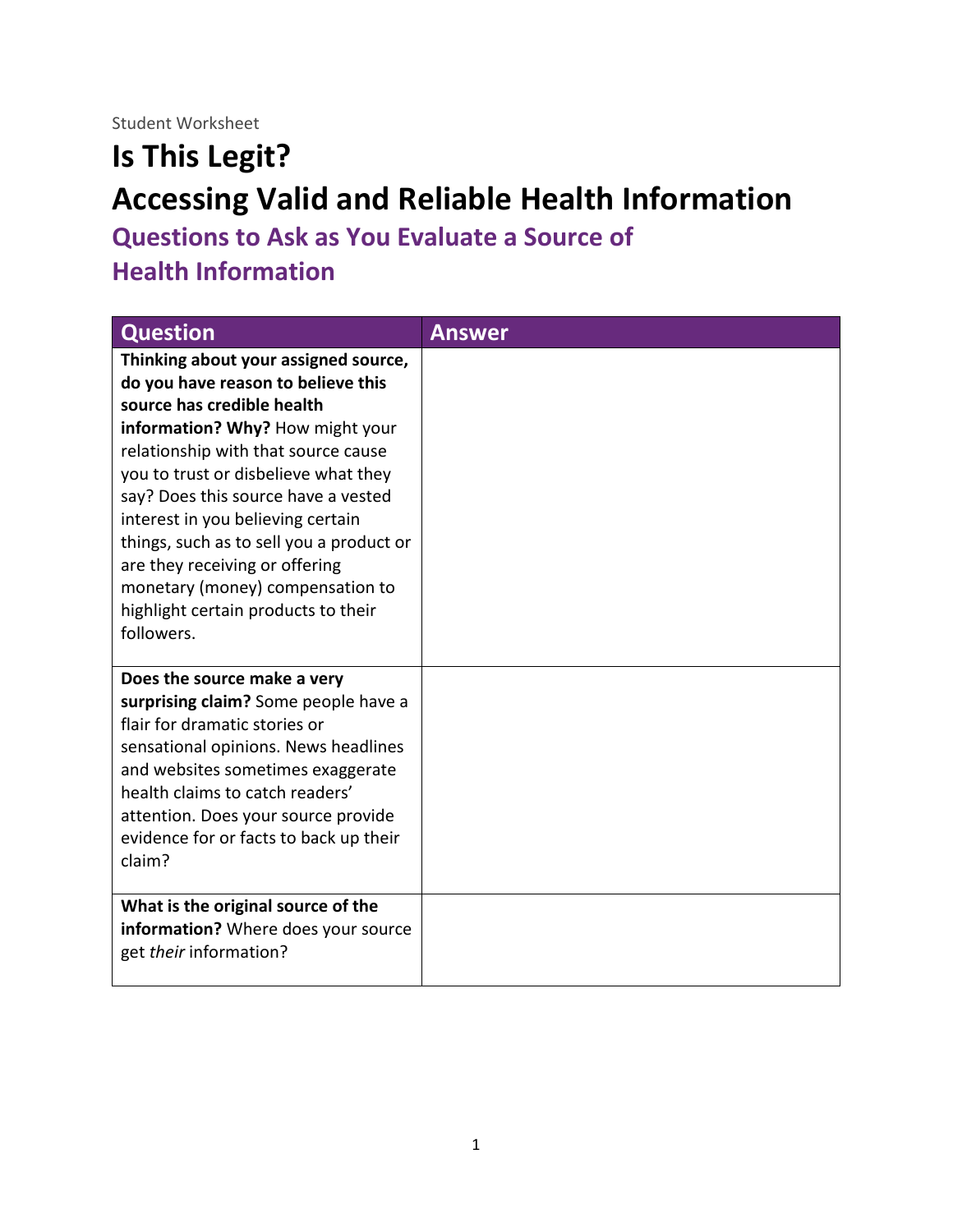Student Worksheet

## **Is This Legit? Accessing Valid and Reliable Health Information**

**Questions to Ask as You Evaluate a Source of** 

**Health Information** 

| <b>Question</b>                                                                                                                                                                                                                                                                                                                                                                                                                                                                | <b>Answer</b> |
|--------------------------------------------------------------------------------------------------------------------------------------------------------------------------------------------------------------------------------------------------------------------------------------------------------------------------------------------------------------------------------------------------------------------------------------------------------------------------------|---------------|
| Thinking about your assigned source,<br>do you have reason to believe this<br>source has credible health<br>information? Why? How might your<br>relationship with that source cause<br>you to trust or disbelieve what they<br>say? Does this source have a vested<br>interest in you believing certain<br>things, such as to sell you a product or<br>are they receiving or offering<br>monetary (money) compensation to<br>highlight certain products to their<br>followers. |               |
| Does the source make a very<br>surprising claim? Some people have a<br>flair for dramatic stories or<br>sensational opinions. News headlines<br>and websites sometimes exaggerate<br>health claims to catch readers'<br>attention. Does your source provide<br>evidence for or facts to back up their<br>claim?                                                                                                                                                                |               |
| What is the original source of the<br>information? Where does your source<br>get their information?                                                                                                                                                                                                                                                                                                                                                                            |               |